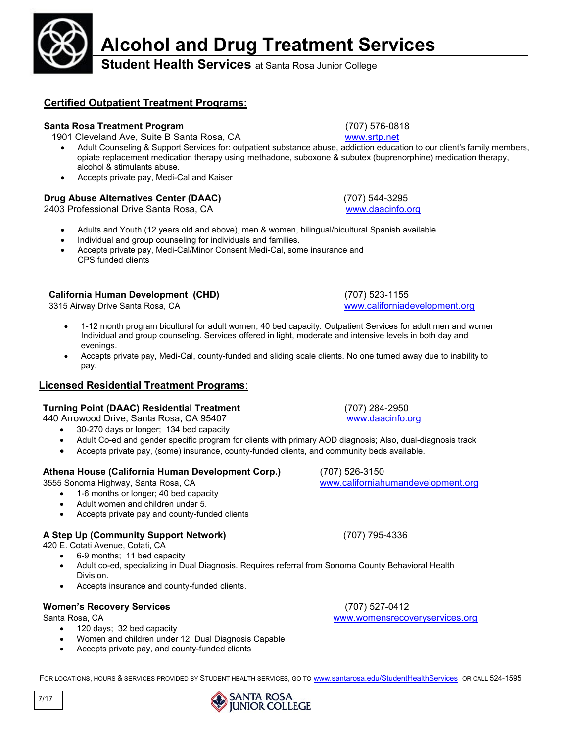

7/17

# **Alcohol and Drug Treatment Services**

**Student Health Services** at Santa Rosa Junior College

### **Certified Outpatient Treatment Programs:**

#### **Santa Rosa Treatment Program** (707) 576-0818

1901 Cleveland Ave, Suite B Santa Rosa, CA [www.srtp.net](http://www.srtp.net/)

- Adult Counseling & Support Services for: outpatient substance abuse, addiction education to our client's family members, opiate replacement medication therapy using methadone, suboxone & subutex (buprenorphine) medication therapy, alcohol & stimulants abuse.
- Accepts private pay, Medi-Cal and Kaiser

#### **Drug Abuse Alternatives Center (DAAC)** (707) 544-3295

2403 Professional Drive Santa Rosa, CA [www.daacinfo.org](http://www.daacinfo.org/)

- Adults and Youth (12 years old and above), men & women, bilingual/bicultural Spanish available.
- Individual and group counseling for individuals and families.
- Accepts private pay, Medi-Cal/Minor Consent Medi-Cal, some insurance and CPS funded clients

#### **California Human Development (CHD)** (707) 523-1155

3315 Airway Drive Santa Rosa, CA [www.californiadevelopment.org](http://www.californiadevelopment.org/)

- 1-12 month program bicultural for adult women; 40 bed capacity. Outpatient Services for adult men and women. Individual and group counseling. Services offered in light, moderate and intensive levels in both day and evenings.
- Accepts private pay, Medi-Cal, county-funded and sliding scale clients. No one turned away due to inability to pay.

#### **Licensed Residential Treatment Programs**:

#### **Turning Point (DAAC) Residential Treatment** (707) 284-2950

440 Arrowood Drive, Santa Rosa, CA 95407 [www.daacinfo.org](http://www.daacinfo.org/)

- 30-270 days or longer; 134 bed capacity
- Adult Co-ed and gender specific program for clients with primary AOD diagnosis; Also, dual-diagnosis track
- Accepts private pay, (some) insurance, county-funded clients, and community beds available.

#### **Athena House (California Human Development Corp.)** (707) 526-3150

- 1-6 months or longer; 40 bed capacity
- Adult women and children under 5.
- Accepts private pay and county-funded clients

#### **A Step Up (Community Support Network)** (707) 795-4336

420 E. Cotati Avenue, Cotati, CA

- 6-9 months; 11 bed capacity
- Adult co-ed, specializing in Dual Diagnosis. Requires referral from Sonoma County Behavioral Health Division.
- Accepts insurance and county-funded clients.

#### **Women's Recovery Services** (707) 527-0412

- 120 days; 32 bed capacity
- Women and children under 12; Dual Diagnosis Capable
- Accepts private pay, and county-funded clients

Santa Rosa, CA [www.womensrecoveryservices.org](http://www.womensrecoveryservices.org/)

3555 Sonoma Highway, Santa Rosa, CA [www.californiahumandevelopment.org](http://www.californiahumandevelopment.org/)